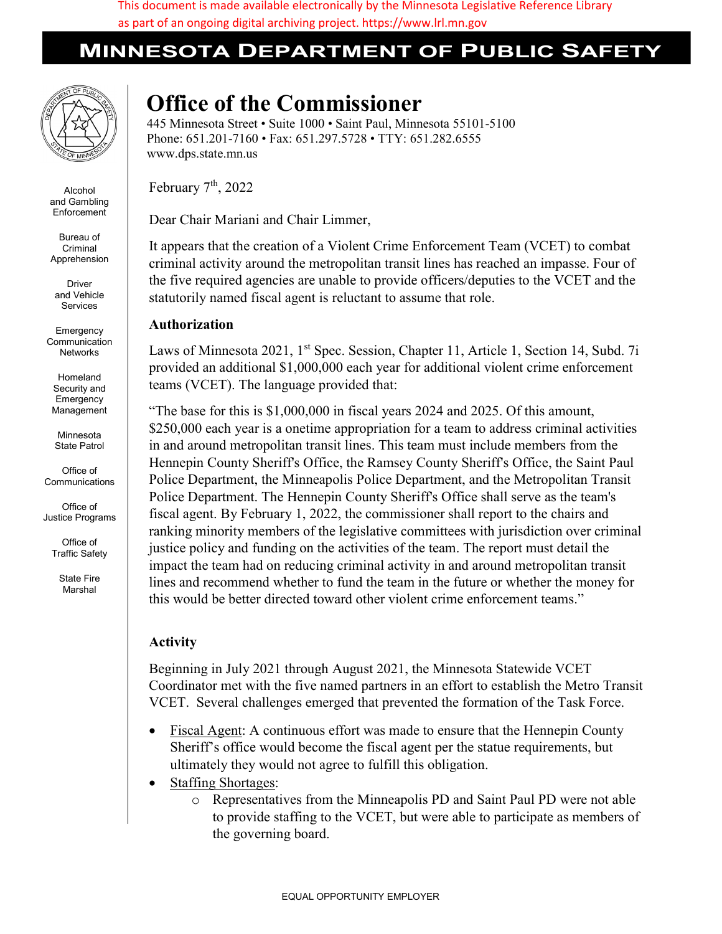This document is made available electronically by the Minnesota Legislative Reference Library as part of an ongoing digital archiving project. https://www.lrl.mn.gov

## **MINNESOTA DEPARTMENT OF PUBLIC SAFET**



Alcohol and Gambling **Enforcement** 

Bureau of Criminal Apprehension

Driver and Vehicle Services

**Emergency** Communication Networks

Homeland Security and **Emergency** Management

Minnesota State Patrol

Office of Communications

Office of Justice Programs

> Office of Traffic Safety

> > State Fire Marshal

## Office of the Commissioner

445 Minnesota Street • Suite 1000 • Saint Paul, Minnesota 55101-5100 Phone: 651.201-7160 • Fax: 651.297.5728 • TTY: 651.282.6555 www.dps.state.mn.us

February  $7<sup>th</sup>$ , 2022

Dear Chair Mariani and Chair Limmer,

It appears that the creation of a Violent Crime Enforcement Team (VCET) to combat criminal activity around the metropolitan transit lines has reached an impasse. Four of the five required agencies are unable to provide officers/deputies to the VCET and the statutorily named fiscal agent is reluctant to assume that role.

## Authorization

Laws of Minnesota 2021, 1<sup>st</sup> Spec. Session, Chapter 11, Article 1, Section 14, Subd. 7i provided an additional \$1,000,000 each year for additional violent crime enforcement teams (VCET). The language provided that:

"The base for this is \$1,000,000 in fiscal years 2024 and 2025. Of this amount, \$250,000 each year is a onetime appropriation for a team to address criminal activities in and around metropolitan transit lines. This team must include members from the Hennepin County Sheriff's Office, the Ramsey County Sheriff's Office, the Saint Paul Police Department, the Minneapolis Police Department, and the Metropolitan Transit Police Department. The Hennepin County Sheriff's Office shall serve as the team's fiscal agent. By February 1, 2022, the commissioner shall report to the chairs and ranking minority members of the legislative committees with jurisdiction over criminal justice policy and funding on the activities of the team. The report must detail the impact the team had on reducing criminal activity in and around metropolitan transit lines and recommend whether to fund the team in the future or whether the money for this would be better directed toward other violent crime enforcement teams."

## Activity

Beginning in July 2021 through August 2021, the Minnesota Statewide VCET Coordinator met with the five named partners in an effort to establish the Metro Transit VCET. Several challenges emerged that prevented the formation of the Task Force.

- Fiscal Agent: A continuous effort was made to ensure that the Hennepin County Sheriff's office would become the fiscal agent per the statue requirements, but ultimately they would not agree to fulfill this obligation.
- Staffing Shortages:
	- o Representatives from the Minneapolis PD and Saint Paul PD were not able to provide staffing to the VCET, but were able to participate as members of the governing board.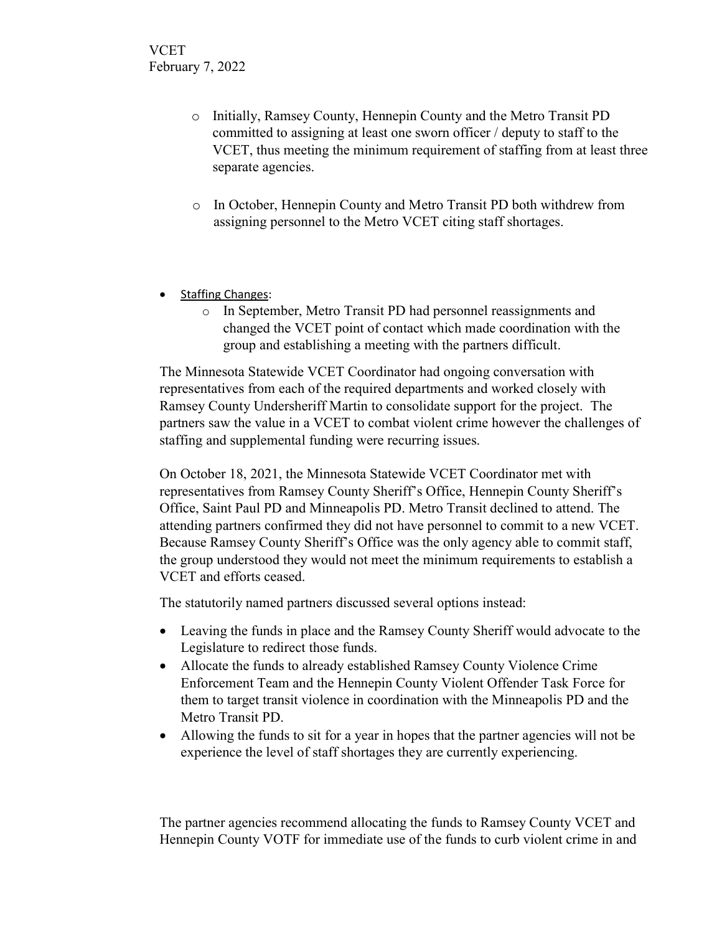- o Initially, Ramsey County, Hennepin County and the Metro Transit PD committed to assigning at least one sworn officer / deputy to staff to the VCET, thus meeting the minimum requirement of staffing from at least three separate agencies.
- o In October, Hennepin County and Metro Transit PD both withdrew from assigning personnel to the Metro VCET citing staff shortages.
- Staffing Changes:
	- o In September, Metro Transit PD had personnel reassignments and changed the VCET point of contact which made coordination with the group and establishing a meeting with the partners difficult.

The Minnesota Statewide VCET Coordinator had ongoing conversation with representatives from each of the required departments and worked closely with Ramsey County Undersheriff Martin to consolidate support for the project. The partners saw the value in a VCET to combat violent crime however the challenges of staffing and supplemental funding were recurring issues.

On October 18, 2021, the Minnesota Statewide VCET Coordinator met with representatives from Ramsey County Sheriff's Office, Hennepin County Sheriff's Office, Saint Paul PD and Minneapolis PD. Metro Transit declined to attend. The attending partners confirmed they did not have personnel to commit to a new VCET. Because Ramsey County Sheriff's Office was the only agency able to commit staff, the group understood they would not meet the minimum requirements to establish a VCET and efforts ceased.

The statutorily named partners discussed several options instead:

- Leaving the funds in place and the Ramsey County Sheriff would advocate to the Legislature to redirect those funds.
- Allocate the funds to already established Ramsey County Violence Crime Enforcement Team and the Hennepin County Violent Offender Task Force for them to target transit violence in coordination with the Minneapolis PD and the Metro Transit PD.
- Allowing the funds to sit for a year in hopes that the partner agencies will not be experience the level of staff shortages they are currently experiencing.

The partner agencies recommend allocating the funds to Ramsey County VCET and Hennepin County VOTF for immediate use of the funds to curb violent crime in and